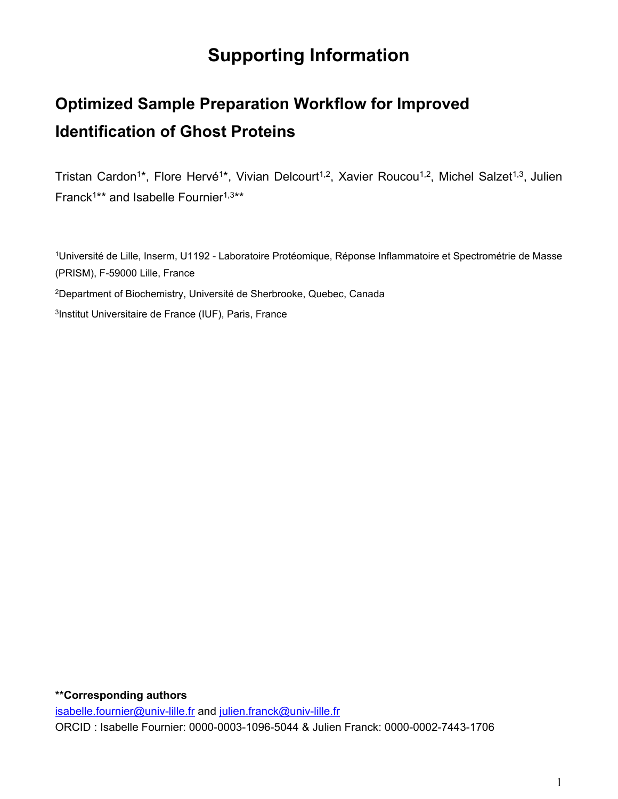## **Supporting Information**

# **Optimized Sample Preparation Workflow for Improved Identification of Ghost Proteins**

Tristan Cardon<sup>1\*</sup>, Flore Hervé<sup>1\*</sup>, Vivian Delcourt<sup>1,2</sup>, Xavier Roucou<sup>1,2</sup>, Michel Salzet<sup>1,3</sup>, Julien Franck<sup>1\*\*</sup> and Isabelle Fournier<sup>1,3\*\*</sup>

<sup>1</sup>Université de Lille, Inserm, U1192 - Laboratoire Protéomique, Réponse Inflammatoire et Spectrométrie de Masse (PRISM), F-59000 Lille, France

<sup>2</sup>Department of Biochemistry, Université de Sherbrooke, Quebec, Canada

3 Institut Universitaire de France (IUF), Paris, France

#### **\*\*Corresponding authors**

[isabelle.fournier@univ-lille.fr](mailto:isabelle.fournier@univ-lille.fr) and [julien.franck@univ-lille.fr](mailto:julien.franck@univ-lille.fr) ORCID : Isabelle Fournier: 0000-0003-1096-5044 & Julien Franck: 0000-0002-7443-1706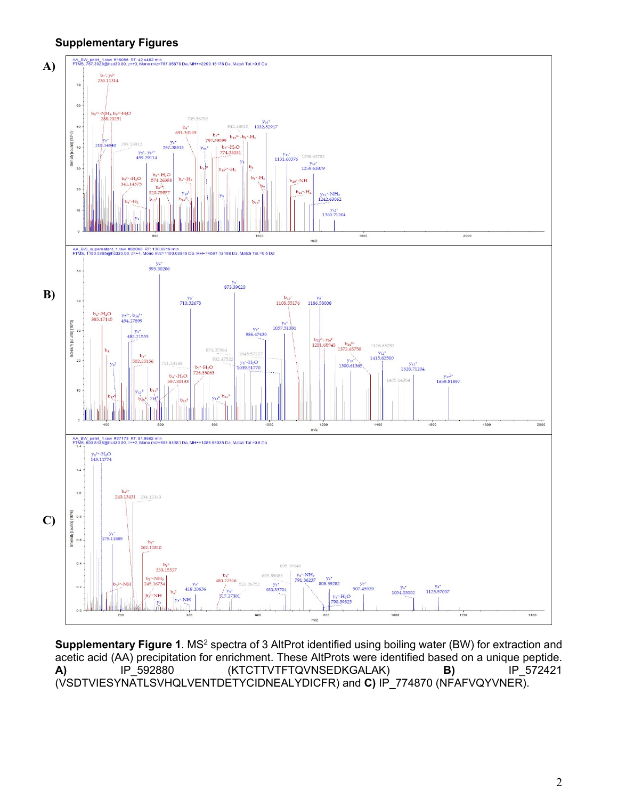#### **Supplementary Figures**



**Supplementary Figure 1**. MS<sup>2</sup> spectra of 3 AltProt identified using boiling water (BW) for extraction and acetic acid (AA) precipitation for enrichment. These AltProts were identified based on a unique peptide. **A)** IP\_592880 (KTCTTVTFTQVNSEDKGALAK) **B)** IP\_572421 (VSDTVIESYNATLSVHQLVENTDETYCIDNEALYDICFR) and **C)** IP\_774870 (NFAFVQYVNER).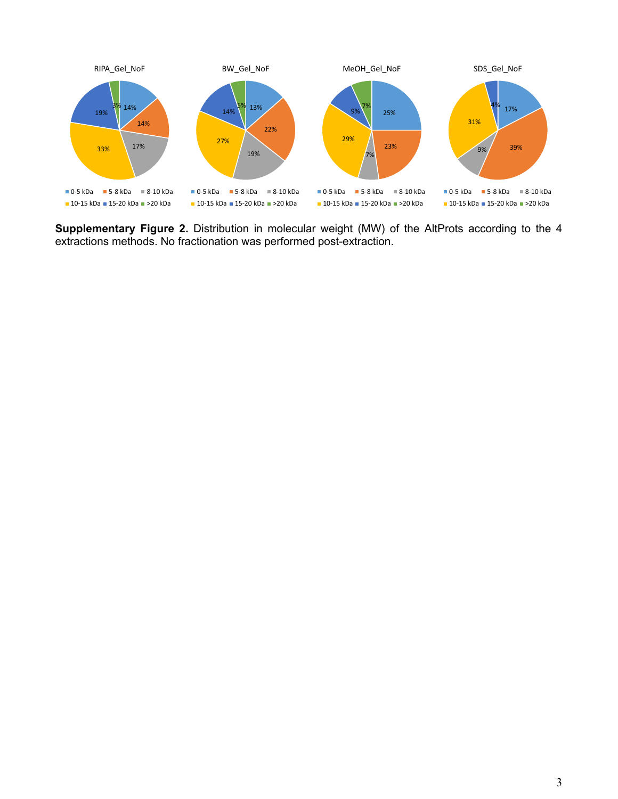

**Supplementary Figure 2.** Distribution in molecular weight (MW) of the AltProts according to the 4 extractions methods. No fractionation was performed post-extraction.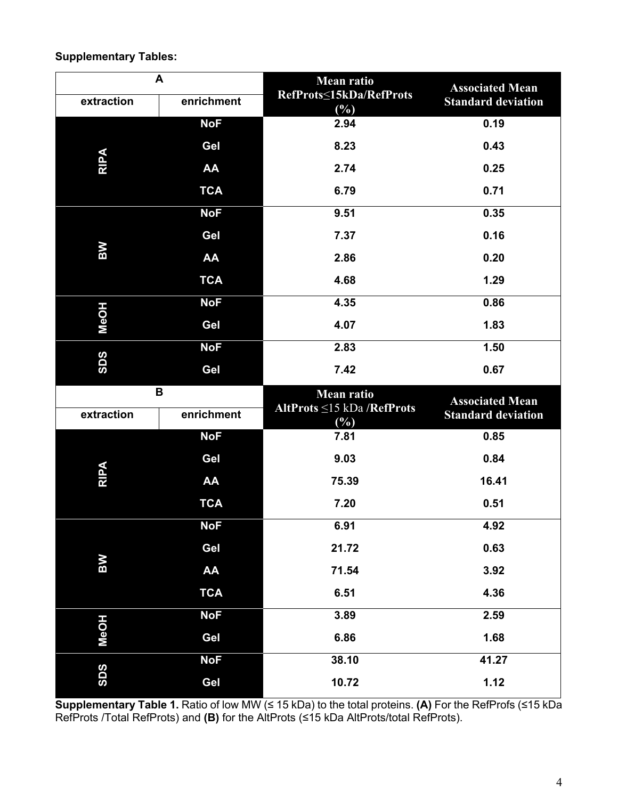### **Supplementary Tables:**

| extraction  | A<br>enrichment | <b>Mean ratio</b><br>RefProts <<br>15kDa/RefProts                                                                                                                                                                | <b>Associated Mean</b><br><b>Standard deviation</b> |  |  |
|-------------|-----------------|------------------------------------------------------------------------------------------------------------------------------------------------------------------------------------------------------------------|-----------------------------------------------------|--|--|
|             | <b>NoF</b>      | 2.94                                                                                                                                                                                                             | 0.19                                                |  |  |
|             | Gel             | 8.23                                                                                                                                                                                                             | 0.43                                                |  |  |
| <b>RIPA</b> | AA              | 2.74                                                                                                                                                                                                             | 0.25                                                |  |  |
|             | <b>TCA</b>      | 6.79                                                                                                                                                                                                             | 0.71                                                |  |  |
|             | <b>NoF</b>      | 9.51                                                                                                                                                                                                             | 0.35                                                |  |  |
|             | Gel             | 7.37                                                                                                                                                                                                             | 0.16                                                |  |  |
| <b>MS</b>   | AA              | 2.86                                                                                                                                                                                                             | 0.20                                                |  |  |
|             | <b>TCA</b>      | $(\%)$<br>4.68<br>4.35<br>4.07<br>2.83<br>7.42<br><b>Mean ratio</b><br>AltProts ≤15 kDa /RefProts<br>$(\%)$<br>7.81<br>9.03<br>75.39<br>7.20<br>6.91<br>21.72<br>71.54<br>6.51<br>3.89<br>6.86<br>38.10<br>10.72 | 1.29                                                |  |  |
|             | <b>NoF</b>      |                                                                                                                                                                                                                  | 0.86                                                |  |  |
| <b>NeOH</b> | Gel             |                                                                                                                                                                                                                  | 1.83                                                |  |  |
|             | <b>NoF</b>      |                                                                                                                                                                                                                  | 1.50                                                |  |  |
| <b>SDS</b>  | Gel             |                                                                                                                                                                                                                  | 0.67                                                |  |  |
|             |                 |                                                                                                                                                                                                                  |                                                     |  |  |
|             |                 |                                                                                                                                                                                                                  |                                                     |  |  |
| extraction  | enrichment      |                                                                                                                                                                                                                  | <b>Associated Mean</b><br><b>Standard deviation</b> |  |  |
|             | <b>NoF</b>      |                                                                                                                                                                                                                  | 0.85                                                |  |  |
|             | B<br>Gel<br>AA  |                                                                                                                                                                                                                  | 0.84                                                |  |  |
| <b>RIPA</b> |                 |                                                                                                                                                                                                                  | 16.41                                               |  |  |
|             | <b>TCA</b>      |                                                                                                                                                                                                                  | 0.51                                                |  |  |
|             | <b>NoF</b>      |                                                                                                                                                                                                                  | 4.92                                                |  |  |
|             | Gel             |                                                                                                                                                                                                                  | 0.63                                                |  |  |
| <b>BW</b>   | AA              |                                                                                                                                                                                                                  | 3.92                                                |  |  |
|             | <b>TCA</b>      |                                                                                                                                                                                                                  | 4.36                                                |  |  |
|             | <b>NoF</b>      |                                                                                                                                                                                                                  | 2.59                                                |  |  |
| <b>MeOH</b> | Gel             |                                                                                                                                                                                                                  | 1.68                                                |  |  |
| <b>SDS</b>  | <b>NoF</b>      |                                                                                                                                                                                                                  | 41.27                                               |  |  |

**Supplementary Table 1.** Ratio of low MW (≤ 15 kDa) to the total proteins. **(A)** For the RefProfs (≤15 kDa RefProts /Total RefProts) and **(B)** for the AltProts (≤15 kDa AltProts/total RefProts).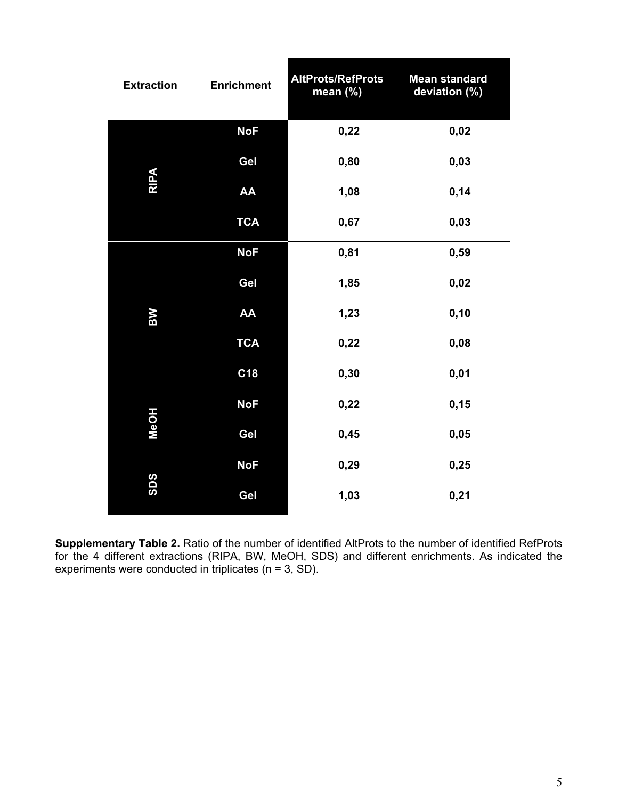| <b>Extraction</b> | <b>Enrichment</b> | <b>AltProts/RefProts</b><br>mean (%)         | <b>Mean standard</b><br>deviation (%) |
|-------------------|-------------------|----------------------------------------------|---------------------------------------|
|                   | <b>NoF</b>        | 0,22                                         | 0,02                                  |
|                   | Gel               | 0,80                                         | 0,03                                  |
| <b>RIPA</b>       | AA                | 1,08                                         | 0,14                                  |
|                   | <b>TCA</b>        | 0,67<br>0,81                                 | 0,03                                  |
|                   | <b>NoF</b>        |                                              | 0,59                                  |
|                   | Gel               | 1,85                                         | 0,02                                  |
| ВW                | AA                | 1,23                                         | 0, 10                                 |
|                   | <b>TCA</b>        | 0,22                                         | 0,08                                  |
|                   | C <sub>18</sub>   | 0,30                                         | 0,01                                  |
|                   | <b>NoF</b>        | 0,22                                         | 0,15                                  |
| <b>MeOH</b>       | Gel               | 0,45<br>0,05<br>0,29<br>0,25<br>1,03<br>0,21 |                                       |
|                   | <b>NoF</b>        |                                              |                                       |
| <b>SDS</b>        | Gel               |                                              |                                       |

**Supplementary Table 2.** Ratio of the number of identified AltProts to the number of identified RefProts for the 4 different extractions (RIPA, BW, MeOH, SDS) and different enrichments. As indicated the experiments were conducted in triplicates ( $n = 3$ , SD).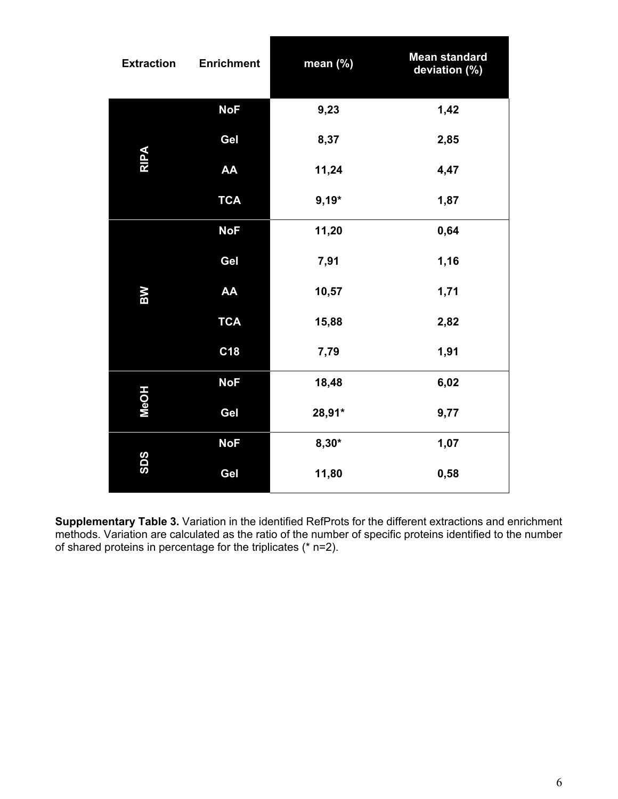| <b>Extraction</b> | <b>Enrichment</b> | mean (%) | <b>Mean standard</b><br>deviation (%) |
|-------------------|-------------------|----------|---------------------------------------|
|                   | <b>NoF</b>        | 9,23     | 1,42                                  |
|                   | Gel               | 8,37     | 2,85                                  |
| <b>RIPA</b>       | AA                | 11,24    | 4,47                                  |
|                   | <b>TCA</b>        | $9,19*$  | 1,87                                  |
|                   | <b>NoF</b>        | 11,20    | 0,64                                  |
|                   | Gel               | 7,91     | 1,16                                  |
| <b>NS</b>         | AA                | 10,57    | 1,71                                  |
|                   | <b>TCA</b>        | 15,88    | 2,82                                  |
|                   | C18               | 7,79     | 1,91                                  |
|                   | <b>NoF</b>        | 18,48    | 6,02                                  |
| <b>MeOH</b>       | Gel               | 28,91*   | 9,77                                  |
|                   | <b>NoF</b>        | $8,30*$  | 1,07                                  |
| <b>SDS</b>        | Gel               | 11,80    | 0,58                                  |

**Supplementary Table 3.** Variation in the identified RefProts for the different extractions and enrichment methods. Variation are calculated as the ratio of the number of specific proteins identified to the number of shared proteins in percentage for the triplicates (\* n=2).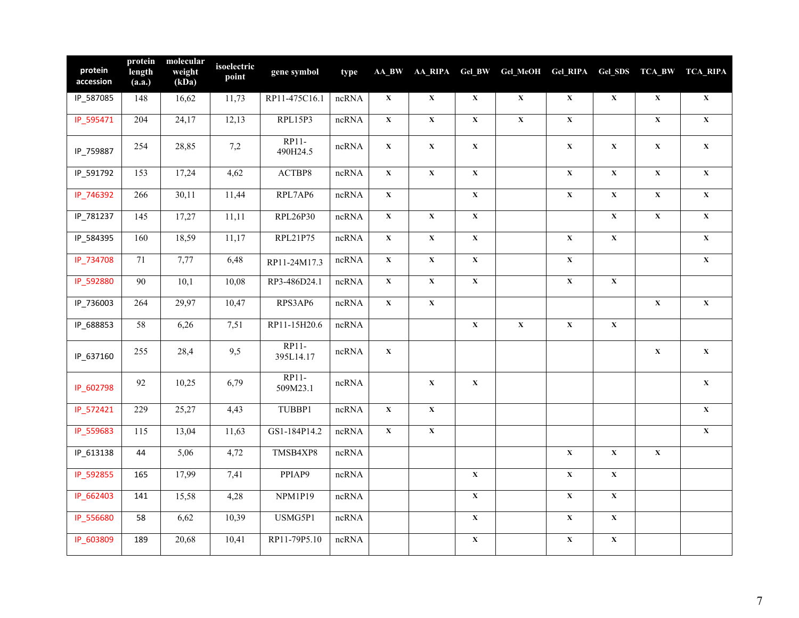| protein<br>accession | protein<br>length<br>(a.a.) | molecular<br>weight<br>(kDa) | isoelectric<br>point | gene symbol             | type                    |                         | AA_BW AA_RIPA Gel_BW    |                         | Gel_MeOH    | Gel_RIPA                |             |                         | Gel_SDS TCA_BW TCA_RIPA |
|----------------------|-----------------------------|------------------------------|----------------------|-------------------------|-------------------------|-------------------------|-------------------------|-------------------------|-------------|-------------------------|-------------|-------------------------|-------------------------|
| IP_587085            | 148                         | 16,62                        | 11,73                | RP11-475C16.1           | ncRNA                   | $\mathbf X$             | $\mathbf X$             | $\mathbf X$             | $\mathbf X$ | $\mathbf X$             | $\mathbf X$ | $\mathbf X$             | $\mathbf X$             |
| IP_595471            | 204                         | 24,17                        | 12,13                | RPL15P3                 | ncRNA                   | $\mathbf X$             | $\mathbf X$             | $\mathbf X$             | $\mathbf X$ | $\mathbf X$             |             | $\mathbf X$             | $\mathbf X$             |
| IP_759887            | 254                         | 28,85                        | 7,2                  | RP11-<br>490H24.5       | ncRNA                   | $\mathbf X$             | $\mathbf X$             | $\mathbf X$             |             | $\mathbf X$             | $\mathbf X$ | $\mathbf X$             | $\mathbf X$             |
| IP_591792            | 153                         | 17,24                        | 4,62                 | $\operatorname{ACTBPS}$ | ncRNA                   | $\mathbf X$             | $\overline{\mathbf{X}}$ | $\overline{\mathbf{X}}$ |             | $\overline{\mathbf{X}}$ | $\mathbf X$ | $\mathbf X$             | $\overline{\mathbf{X}}$ |
| IP_746392            | 266                         | 30,11                        | 11,44                | RPL7AP6                 | ncRNA                   | $\mathbf X$             |                         | $\mathbf X$             |             | $\mathbf X$             | $\mathbf X$ | $\mathbf X$             | $\mathbf X$             |
| IP_781237            | 145                         | 17,27                        | 11,11                | RPL26P30                | ncRNA                   | $\overline{\mathbf{X}}$ | $\overline{\mathbf{X}}$ | $\mathbf X$             |             |                         | $\mathbf X$ | $\overline{\mathbf{X}}$ | $\overline{\mathbf{X}}$ |
| IP_584395            | 160                         | 18,59                        | 11,17                | RPL21P75                | ncRNA                   | $\mathbf X$             | $\mathbf X$             | $\mathbf X$             |             | $\mathbf X$             | $\mathbf X$ |                         | $\mathbf X$             |
| IP_734708            | $71\,$                      | 7,77                         | 6,48                 | RP11-24M17.3            | ncRNA                   | $\mathbf X$             | $\mathbf X$             | $\mathbf X$             |             | $\mathbf X$             |             |                         | $\mathbf X$             |
| IP_592880            | $\overline{90}$             | 10,1                         | 10,08                | RP3-486D24.1            | ncRNA                   | $\mathbf X$             | $\overline{\mathbf{X}}$ | $\overline{\mathbf{X}}$ |             | $\mathbf X$             | $\mathbf X$ |                         |                         |
| IP_736003            | 264                         | 29,97                        | 10,47                | RPS3AP6                 | $n$ c $\overline{RN}$ A | $\mathbf X$             | $\bar{\mathbf{X}}$      |                         |             |                         |             | $\mathbf X$             | $\mathbf X$             |
| IP_688853            | 58                          | 6,26                         | 7,51                 | RP11-15H20.6            | ncRNA                   |                         |                         | $\mathbf X$             | $\mathbf X$ | $\mathbf X$             | $\mathbf X$ |                         |                         |
| IP_637160            | 255                         | 28,4                         | 9,5                  | $RP11-$<br>395L14.17    | ncRNA                   | $\mathbf X$             |                         |                         |             |                         |             | $\mathbf X$             | $\mathbf X$             |
| IP_602798            | 92                          | 10,25                        | 6,79                 | RP11-<br>509M23.1       | ncRNA                   |                         | $\mathbf X$             | $\mathbf X$             |             |                         |             |                         | $\mathbf{X}$            |
| IP_572421            | 229                         | 25,27                        | 4,43                 | TUBBP1                  | ncRNA                   | $\mathbf X$             | $\overline{\mathbf{X}}$ |                         |             |                         |             |                         | $\mathbf X$             |
| IP_559683            | 115                         | 13,04                        | 11,63                | GS1-184P14.2            | ncRNA                   | $\mathbf X$             | $\overline{\mathbf{X}}$ |                         |             |                         |             |                         | $\mathbf X$             |
| IP_613138            | 44                          | 5,06                         | 4,72                 | TMSB4XP8                | ncRNA                   |                         |                         |                         |             | $\mathbf X$             | $\mathbf X$ | $\mathbf X$             |                         |
| IP_592855            | 165                         | 17,99                        | 7,41                 | PPIAP9                  | ncRNA                   |                         |                         | $\mathbf X$             |             | $\mathbf X$             | $\mathbf X$ |                         |                         |
| IP_662403            | 141                         | 15,58                        | 4,28                 | NPM1P19                 | ncRNA                   |                         |                         | $\mathbf{X}$            |             | $\mathbf X$             | $\mathbf X$ |                         |                         |
| IP_556680            | 58                          | 6,62                         | 10,39                | USMG5P1                 | $ncRNA$                 |                         |                         | $\mathbf X$             |             | $\mathbf X$             | $\mathbf X$ |                         |                         |
| IP_603809            | 189                         | 20,68                        | 10,41                | RP11-79P5.10            | ncRNA                   |                         |                         | $\mathbf X$             |             | $\mathbf X$             | $\mathbf X$ |                         |                         |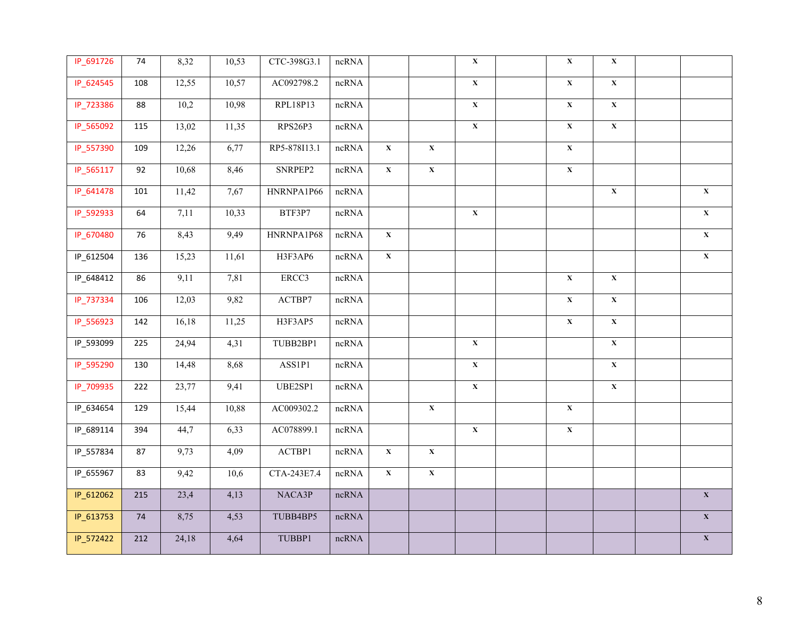| IP_691726 | 74  | 8,32  | 10,53 | CTC-398G3.1             | $ncRNA$ |                |                         | $\mathbf X$             | $\mathbf X$             | $\mathbf X$             |                         |
|-----------|-----|-------|-------|-------------------------|---------|----------------|-------------------------|-------------------------|-------------------------|-------------------------|-------------------------|
| IP_624545 | 108 | 12,55 | 10,57 | AC092798.2              | ncRNA   |                |                         | $\overline{\mathbf{X}}$ | $\overline{\mathbf{X}}$ | $\overline{\mathbf{X}}$ |                         |
| IP_723386 | 88  | 10,2  | 10,98 | RPL18P13                | ncRNA   |                |                         | $\overline{\mathbf{X}}$ | $\overline{\mathbf{X}}$ | $\overline{\mathbf{X}}$ |                         |
| IP_565092 | 115 | 13,02 | 11,35 | RPS26P3                 | ncRNA   |                |                         | $\mathbf X$             | $\mathbf X$             | $\overline{\mathbf{X}}$ |                         |
| IP_557390 | 109 | 12,26 | 6,77  | RP5-878I13.1            | ncRNA   | $\mathbf X$    | $\mathbf{X}$            |                         | $\overline{\mathbf{X}}$ |                         |                         |
| IP_565117 | 92  | 10,68 | 8,46  | SNRPEP2                 | ncRNA   | $\mathbf X$    | $\mathbf X$             |                         | $\mathbf X$             |                         |                         |
| IP_641478 | 101 | 11,42 | 7,67  | HNRNPA1P66              | ncRNA   |                |                         |                         |                         | $\overline{\mathbf{X}}$ | $\mathbf X$             |
| IP_592933 | 64  | 7,11  | 10,33 | BTF3P7                  | ncRNA   |                |                         | $\mathbf X$             |                         |                         | $\overline{\mathbf{X}}$ |
| IP_670480 | 76  | 8,43  | 9,49  | HNRNPA1P68              | ncRNA   | $\mathbf X$    |                         |                         |                         |                         | $\overline{\mathbf{X}}$ |
| IP_612504 | 136 | 15,23 | 11,61 | H3F3AP6                 | ncRNA   | $\mathbf{X}^-$ |                         |                         |                         |                         | $\overline{\mathbf{X}}$ |
| IP_648412 | 86  | 9,11  | 7,81  | ERCC3                   | ncRNA   |                |                         |                         | $\bar{\mathbf{X}}$      | $\bar{\mathbf{X}}$      |                         |
| IP_737334 | 106 | 12,03 | 9,82  | $\operatorname{ACTBP7}$ | ncRNA   |                |                         |                         | $\overline{\mathbf{X}}$ | $\overline{\mathbf{X}}$ |                         |
| IP_556923 | 142 | 16,18 | 11,25 | H3F3AP5                 | $ncRNA$ |                |                         |                         | $\overline{\mathbf{X}}$ | $\overline{\mathbf{X}}$ |                         |
| IP_593099 | 225 | 24,94 | 4,31  | TUBB2BP1                | $ncRNA$ |                |                         | $\mathbf X$             |                         | $\mathbf X$             |                         |
| IP_595290 | 130 | 14,48 | 8,68  | ASS1P1                  | ncRNA   |                |                         | $\mathbf X$             |                         | $\mathbf X$             |                         |
| IP_709935 | 222 | 23,77 | 9,41  | UBE2SP1                 | ncRNA   |                |                         | $\overline{\mathbf{X}}$ |                         | $\overline{\mathbf{X}}$ |                         |
| IP_634654 | 129 | 15,44 | 10,88 | AC009302.2              | $ncRNA$ |                | $\overline{\mathbf{X}}$ |                         | $\overline{\mathbf{X}}$ |                         |                         |
| IP_689114 | 394 | 44,7  | 6,33  | AC078899.1              | ncRNA   |                |                         | $\mathbf X$             | $\mathbf X$             |                         |                         |
| IP_557834 | 87  | 9,73  | 4,09  | ACTBP1                  | ncRNA   | $\mathbf X$    | $\overline{\mathbf{X}}$ |                         |                         |                         |                         |
| IP_655967 | 83  | 9,42  | 10,6  | CTA-243E7.4             | ncRNA   | $\mathbf{X}^-$ | $\overline{\mathbf{X}}$ |                         |                         |                         |                         |
| IP_612062 | 215 | 23,4  | 4,13  | NACA3P                  | ncRNA   |                |                         |                         |                         |                         | $\overline{\mathbf{X}}$ |
| IP_613753 | 74  | 8,75  | 4,53  | TUBB4BP5                | $ncRNA$ |                |                         |                         |                         |                         | $\mathbf X$             |
| IP_572422 | 212 | 24,18 | 4,64  | TUBBP1                  | $ncRNA$ |                |                         |                         |                         |                         | $\mathbf X$             |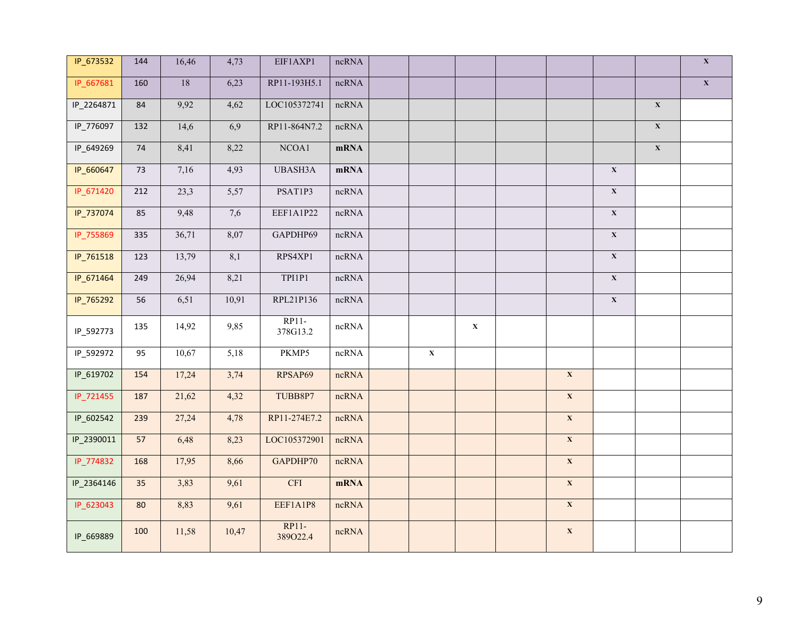| IP_673532  | 144    | 16,46           | 4,73             | EIF1AXP1                | ncRNA       |                         |             |                         |                         |                         | $\mathbf X$             |
|------------|--------|-----------------|------------------|-------------------------|-------------|-------------------------|-------------|-------------------------|-------------------------|-------------------------|-------------------------|
| IP_667681  | 160    | $\overline{18}$ | 6,23             | RP11-193H5.1            | ncRNA       |                         |             |                         |                         |                         | $\overline{\mathbf{X}}$ |
| IP_2264871 | 84     | 9,92            | 4,62             | LOC105372741            | ncRNA       |                         |             |                         |                         | $\mathbf{X}$            |                         |
| IP_776097  | 132    | 14,6            | 6,9              | RP11-864N7.2            | ncRNA       |                         |             |                         |                         | $\overline{\mathbf{X}}$ |                         |
| IP_649269  | 74     | 8,41            | 8,22             | NCOA1                   | mRNA        |                         |             |                         |                         | $\mathbf X$             |                         |
| IP_660647  | $73\,$ | 7,16            | 4,93             | UBASH3A                 | mRNA        |                         |             |                         | $\mathbf X$             |                         |                         |
| IP_671420  | 212    | 23,3            | 5,57             | PSAT1P3                 | $ncRNA$     |                         |             |                         | $\mathbf X$             |                         |                         |
| IP_737074  | 85     | 9,48            | 7,6              | EEF1A1P22               | ncRNA       |                         |             |                         | $\bar{\mathbf{X}}$      |                         |                         |
| IP_755869  | 335    | 36,71           | 8,07             | GAPDHP69                | ncRNA       |                         |             |                         | $\mathbf X$             |                         |                         |
| IP_761518  | 123    | 13,79           | $\overline{8,1}$ | RPS4XP1                 | $ncRNA$     |                         |             |                         | $\overline{\mathbf{X}}$ |                         |                         |
| IP_671464  | 249    | 26,94           | 8,21             | TPI1P1                  | ncRNA       |                         |             |                         | $\mathbf X$             |                         |                         |
| IP_765292  | 56     | 6,51            | 10,91            | RPL21P136               | $ncRNA$     |                         |             |                         | $\overline{\mathbf{X}}$ |                         |                         |
| IP_592773  | 135    | 14,92           | 9,85             | $RP11-$<br>378G13.2     | ncRNA       |                         | $\mathbf X$ |                         |                         |                         |                         |
| IP_592972  | 95     | 10,67           | 5,18             | PKMP5                   | ncRNA       | $\overline{\mathbf{X}}$ |             |                         |                         |                         |                         |
| IP_619702  | 154    | 17,24           | 3,74             | RPSAP69                 | ncRNA       |                         |             | $\mathbf X$             |                         |                         |                         |
| IP_721455  | 187    | 21,62           | 4,32             | TUBB8P7                 | ncRNA       |                         |             | $\mathbf X$             |                         |                         |                         |
| IP_602542  | 239    | 27,24           | 4,78             | RP11-274E7.2            | ncRNA       |                         |             | $\mathbf X$             |                         |                         |                         |
| IP_2390011 | 57     | 6,48            | 8,23             | LOC105372901            | ncRNA       |                         |             | $\mathbf X$             |                         |                         |                         |
| IP_774832  | 168    | 17,95           | 8,66             | GAPDHP70                | ncRNA       |                         |             | $\mathbf X$             |                         |                         |                         |
| IP_2364146 | 35     | 3,83            | 9,61             | $\overline{\text{CFI}}$ | <b>mRNA</b> |                         |             | $\mathbf X$             |                         |                         |                         |
| IP_623043  | 80     | 8,83            | 9,61             | EEF1A1P8                | ncRNA       |                         |             | $\overline{\mathbf{X}}$ |                         |                         |                         |
| IP_669889  | 100    | 11,58           | 10,47            | RP11-<br>389022.4       | ncRNA       |                         |             | $\mathbf X$             |                         |                         |                         |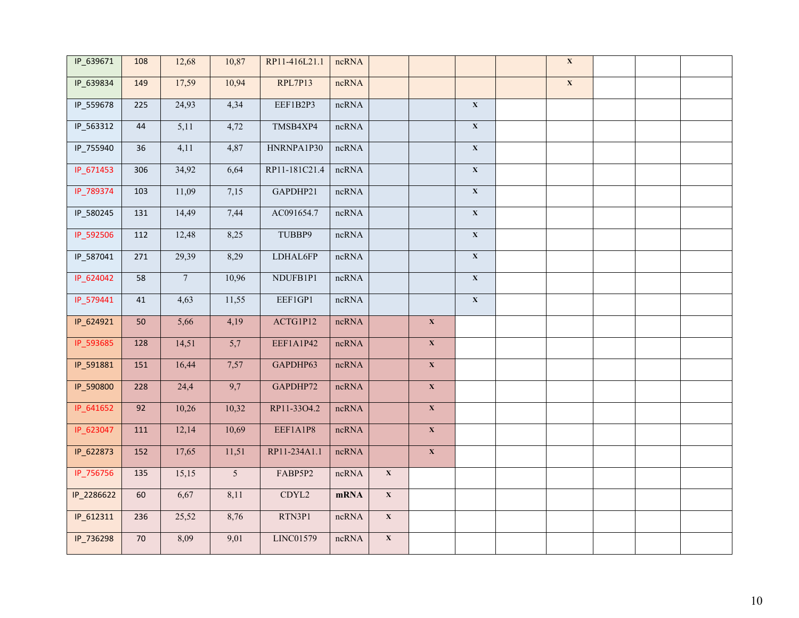| IP_639671  | 108    | 12,68          | 10,87            | RP11-416L21.1 | ncRNA   |                |                         |                         | $\overline{\mathbf{X}}$ |  |  |
|------------|--------|----------------|------------------|---------------|---------|----------------|-------------------------|-------------------------|-------------------------|--|--|
| IP_639834  | 149    | 17,59          | 10,94            | RPL7P13       | ncRNA   |                |                         |                         | $\overline{\mathbf{X}}$ |  |  |
| IP_559678  | 225    | 24,93          | 4,34             | EEF1B2P3      | ncRNA   |                |                         | $\overline{\mathbf{X}}$ |                         |  |  |
| IP_563312  | $44\,$ | 5,11           | 4,72             | TMSB4XP4      | ncRNA   |                |                         | $\mathbf X$             |                         |  |  |
| IP_755940  | 36     | 4,11           | 4,87             | HNRNPA1P30    | $ncRNA$ |                |                         | $\mathbf X$             |                         |  |  |
| IP_671453  | 306    | 34,92          | 6,64             | RP11-181C21.4 | ncRNA   |                |                         | $\mathbf X$             |                         |  |  |
| IP_789374  | 103    | 11,09          | 7,15             | GAPDHP21      | ncRNA   |                |                         | $\mathbf X$             |                         |  |  |
| IP_580245  | 131    | 14,49          | 7,44             | AC091654.7    | ncRNA   |                |                         | $\mathbf X$             |                         |  |  |
| IP_592506  | 112    | 12,48          | 8,25             | TUBBP9        | $ncRNA$ |                |                         | $\mathbf X$             |                         |  |  |
| IP_587041  | 271    | 29,39          | 8,29             | LDHAL6FP      | ncRNA   |                |                         | $\mathbf X$             |                         |  |  |
| IP_624042  | 58     | $\overline{7}$ | 10,96            | NDUFB1P1      | ncRNA   |                |                         | $\mathbf X$             |                         |  |  |
| IP_579441  | $41\,$ | 4,63           | 11,55            | EEF1GP1       | ncRNA   |                |                         | $\mathbf X$             |                         |  |  |
| IP_624921  | 50     | 5,66           | 4,19             | ACTG1P12      | ncRNA   |                | $\mathbf X$             |                         |                         |  |  |
| IP_593685  | 128    | 14,51          | 5,7              | EEF1A1P42     | ncRNA   |                | $\mathbf X$             |                         |                         |  |  |
| IP_591881  | 151    | 16,44          | 7,57             | GAPDHP63      | ncRNA   |                | $\overline{\mathbf{X}}$ |                         |                         |  |  |
| IP_590800  | 228    | 24,4           | $\overline{9,7}$ | GAPDHP72      | ncRNA   |                | $\overline{\mathbf{X}}$ |                         |                         |  |  |
| IP_641652  | 92     | 10,26          | 10,32            | RP11-33O4.2   | ncRNA   |                | $\overline{\mathbf{X}}$ |                         |                         |  |  |
| IP_623047  | 111    | 12,14          | 10,69            | EEF1A1P8      | ncRNA   |                | $\mathbf X$             |                         |                         |  |  |
| IP_622873  | 152    | 17,65          | 11,51            | RP11-234A1.1  | ncRNA   |                | $\mathbf X$             |                         |                         |  |  |
| IP_756756  | 135    | 15,15          | $\overline{5}$   | FABP5P2       | ncRNA   | $\mathbf X$    |                         |                         |                         |  |  |
| IP_2286622 | 60     | 6,67           | 8,11             | CDYL2         | mRNA    | $\mathbf X$    |                         |                         |                         |  |  |
| IP_612311  | 236    | 25,52          | 8,76             | RTN3P1        | ncRNA   | $\mathbf{X}^-$ |                         |                         |                         |  |  |
| IP_736298  | $70\,$ | 8,09           | 9,01             | LINC01579     | ncRNA   | $\mathbf X$    |                         |                         |                         |  |  |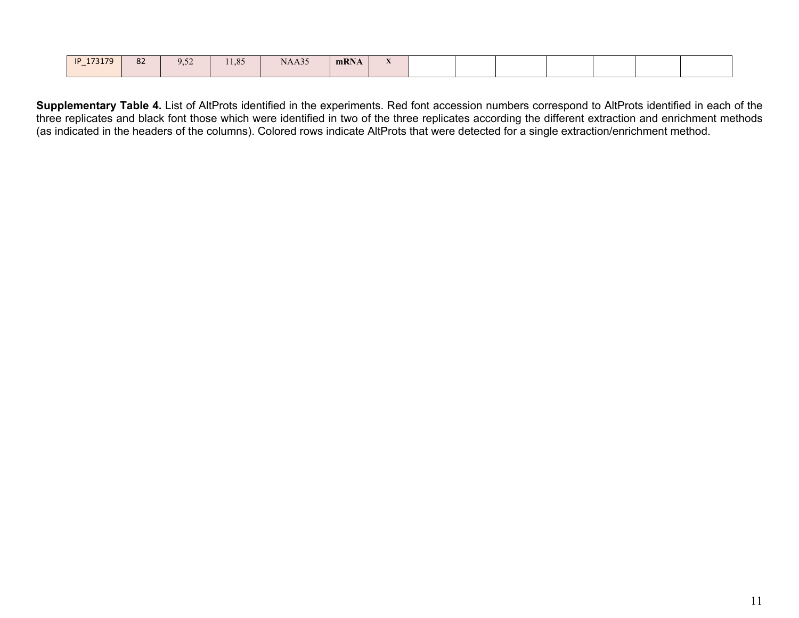| IP 173179<br>$\overline{\phantom{a}}$ | 82 | $ -$<br>$\Omega$<br>ノコンム | 1105<br>11.02 | NAA35 | mRNA | $-1$<br>$\cdots$ |  |  |  |  |  |  |  |
|---------------------------------------|----|--------------------------|---------------|-------|------|------------------|--|--|--|--|--|--|--|
|---------------------------------------|----|--------------------------|---------------|-------|------|------------------|--|--|--|--|--|--|--|

**Supplementary Table 4.** List of AltProts identified in the experiments. Red font accession numbers correspond to AltProts identified in each of the three replicates and black font those which were identified in two of the three replicates according the different extraction and enrichment methods (as indicated in the headers of the columns). Colored rows indicate AltProts that were detected for a single extraction/enrichment method.